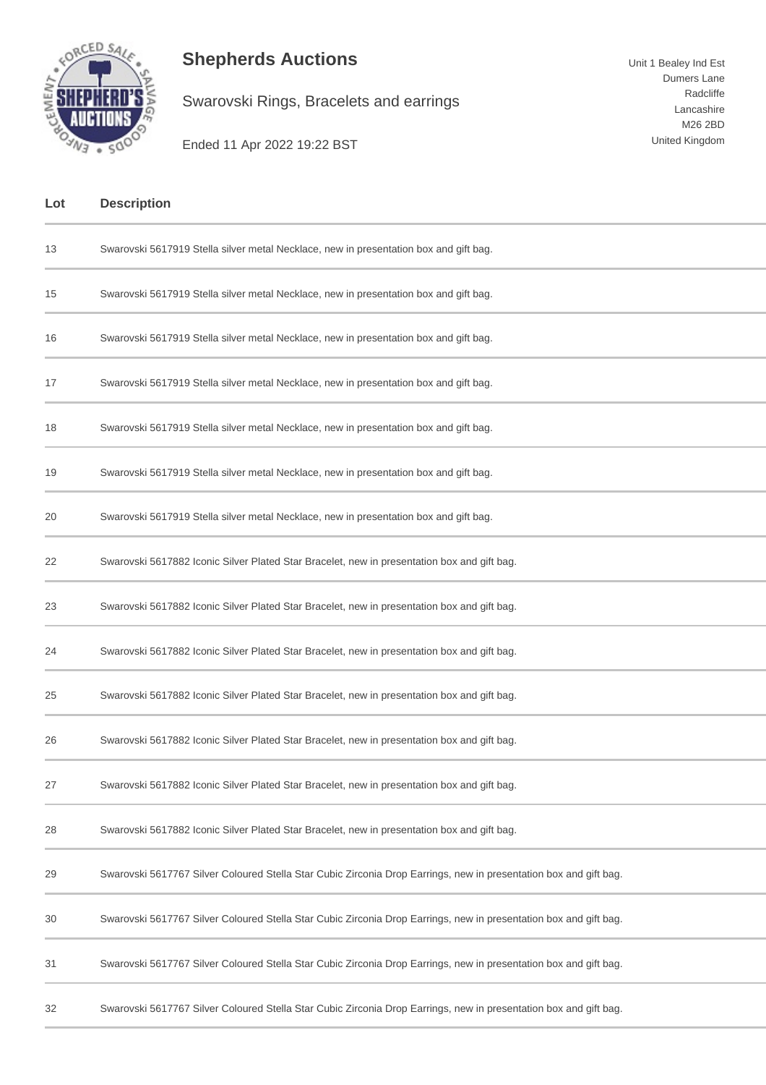

## **Shepherds Auctions**

Swarovski Rings, Bracelets and earrings

Ended 11 Apr 2022 19:22 BST

| Lot | <b>Description</b>                                                                                                |
|-----|-------------------------------------------------------------------------------------------------------------------|
| 13  | Swarovski 5617919 Stella silver metal Necklace, new in presentation box and gift bag.                             |
| 15  | Swarovski 5617919 Stella silver metal Necklace, new in presentation box and gift bag.                             |
| 16  | Swarovski 5617919 Stella silver metal Necklace, new in presentation box and gift bag.                             |
| 17  | Swarovski 5617919 Stella silver metal Necklace, new in presentation box and gift bag.                             |
| 18  | Swarovski 5617919 Stella silver metal Necklace, new in presentation box and gift bag.                             |
| 19  | Swarovski 5617919 Stella silver metal Necklace, new in presentation box and gift bag.                             |
| 20  | Swarovski 5617919 Stella silver metal Necklace, new in presentation box and gift bag.                             |
| 22  | Swarovski 5617882 Iconic Silver Plated Star Bracelet, new in presentation box and gift bag.                       |
| 23  | Swarovski 5617882 Iconic Silver Plated Star Bracelet, new in presentation box and gift bag.                       |
| 24  | Swarovski 5617882 Iconic Silver Plated Star Bracelet, new in presentation box and gift bag.                       |
| 25  | Swarovski 5617882 Iconic Silver Plated Star Bracelet, new in presentation box and gift bag.                       |
| 26  | Swarovski 5617882 Iconic Silver Plated Star Bracelet, new in presentation box and gift bag.                       |
| 27  | Swarovski 5617882 Iconic Silver Plated Star Bracelet, new in presentation box and gift bag.                       |
| 28  | Swarovski 5617882 Iconic Silver Plated Star Bracelet, new in presentation box and gift bag.                       |
| 29  | Swarovski 5617767 Silver Coloured Stella Star Cubic Zirconia Drop Earrings, new in presentation box and gift bag. |
| 30  | Swarovski 5617767 Silver Coloured Stella Star Cubic Zirconia Drop Earrings, new in presentation box and gift bag. |
| 31  | Swarovski 5617767 Silver Coloured Stella Star Cubic Zirconia Drop Earrings, new in presentation box and gift bag. |
| 32  | Swarovski 5617767 Silver Coloured Stella Star Cubic Zirconia Drop Earrings, new in presentation box and gift bag. |